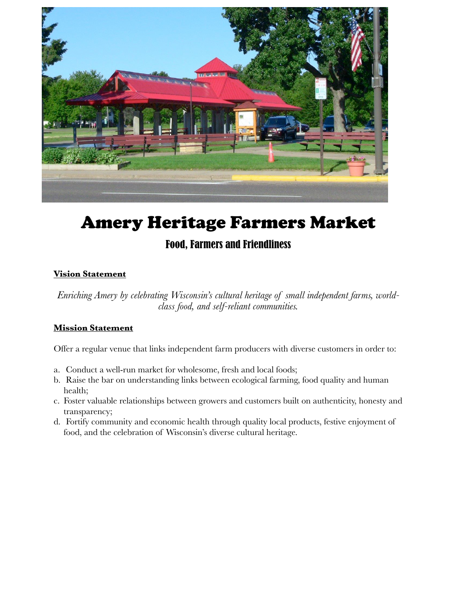

# Amery Heritage Farmers Market

# Food, Farmers and Friendliness

# **Vision Statement**

*Enriching Amery by celebrating Wisconsin's cultural heritage of small independent farms, worldclass food, and self-reliant communities.*

# **Mission Statement**

Offer a regular venue that links independent farm producers with diverse customers in order to:

- a. Conduct a well-run market for wholesome, fresh and local foods;
- b. Raise the bar on understanding links between ecological farming, food quality and human health;
- c. Foster valuable relationships between growers and customers built on authenticity, honesty and transparency;
- d. Fortify community and economic health through quality local products, festive enjoyment of food, and the celebration of Wisconsin's diverse cultural heritage.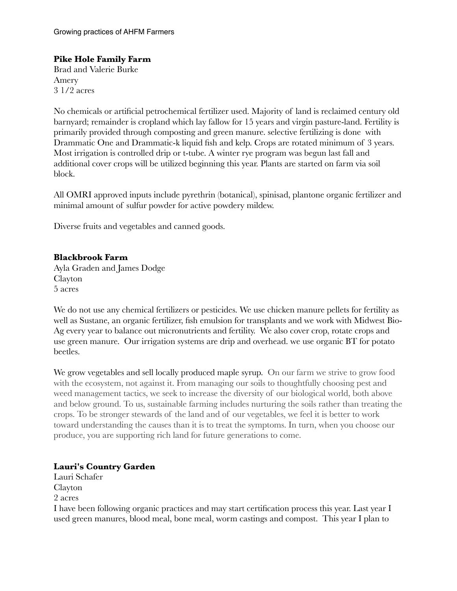# **Pike Hole Family Farm**

Brad and Valerie Burke Amery 3 1/2 acres

No chemicals or artificial petrochemical fertilizer used. Majority of land is reclaimed century old barnyard; remainder is cropland which lay fallow for 15 years and virgin pasture-land. Fertility is primarily provided through composting and green manure. selective fertilizing is done with Drammatic One and Drammatic-k liquid fish and kelp. Crops are rotated minimum of 3 years. Most irrigation is controlled drip or t-tube. A winter rye program was begun last fall and additional cover crops will be utilized beginning this year. Plants are started on farm via soil block.

All OMRI approved inputs include pyrethrin (botanical), spinisad, plantone organic fertilizer and minimal amount of sulfur powder for active powdery mildew.

Diverse fruits and vegetables and canned goods.

#### **Blackbrook Farm**

Ayla Graden and James Dodge Clayton 5 acres

We do not use any chemical fertilizers or pesticides. We use chicken manure pellets for fertility as well as Sustane, an organic fertilizer, fish emulsion for transplants and we work with Midwest Bio-Ag every year to balance out micronutrients and fertility. We also cover crop, rotate crops and use green manure. Our irrigation systems are drip and overhead. we use organic BT for potato beetles.

We grow vegetables and sell locally produced maple syrup. On our farm we strive to grow food with the ecosystem, not against it. From managing our soils to thoughtfully choosing pest and weed management tactics, we seek to increase the diversity of our biological world, both above and below ground. To us, sustainable farming includes nurturing the soils rather than treating the crops. To be stronger stewards of the land and of our vegetables, we feel it is better to work toward understanding the causes than it is to treat the symptoms. In turn, when you choose our produce, you are supporting rich land for future generations to come.

# **Lauri's Country Garden**

Lauri Schafer Clayton 2 acres I have been following organic practices and may start certification process this year. Last year I used green manures, blood meal, bone meal, worm castings and compost. This year I plan to